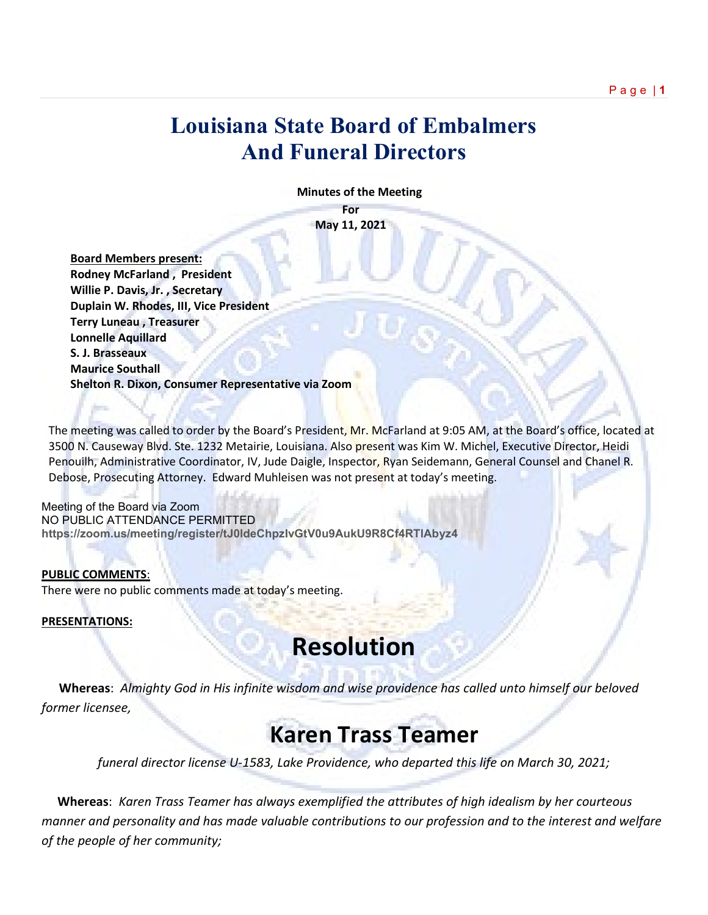### **Louisiana State Board of Embalmers And Funeral Directors**

 **Minutes of the Meeting**

**For May 11, 2021**

 **Board Members present: Rodney McFarland , President Willie P. Davis, Jr. , Secretary Duplain W. Rhodes, III, Vice President Terry Luneau , Treasurer Lonnelle Aquillard S. J. Brasseaux Maurice Southall Shelton R. Dixon, Consumer Representative via Zoom**

The meeting was called to order by the Board's President, Mr. McFarland at 9:05 AM, at the Board's office, located at 3500 N. Causeway Blvd. Ste. 1232 Metairie, Louisiana. Also present was Kim W. Michel, Executive Director, Heidi Penouilh, Administrative Coordinator, IV, Jude Daigle, Inspector, Ryan Seidemann, General Counsel and Chanel R. Debose, Prosecuting Attorney. Edward Muhleisen was not present at today's meeting.

Meeting of the Board via Zoom NO PUBLIC ATTENDANCE PERMITTED **https://zoom.us/meeting/register/tJ0ldeChpzIvGtV0u9AukU9R8Cf4RTlAbyz4** 

#### **PUBLIC COMMENTS**:

There were no public comments made at today's meeting.

**PRESENTATIONS:** 

# **Resolution**

 **Whereas**: *Almighty God in His infinite wisdom and wise providence has called unto himself our beloved former licensee,*

## **Karen Trass Teamer**

*funeral director license U-1583, Lake Providence, who departed this life on March 30, 2021;*

 **Whereas**: *Karen Trass Teamer has always exemplified the attributes of high idealism by her courteous manner and personality and has made valuable contributions to our profession and to the interest and welfare of the people of her community;*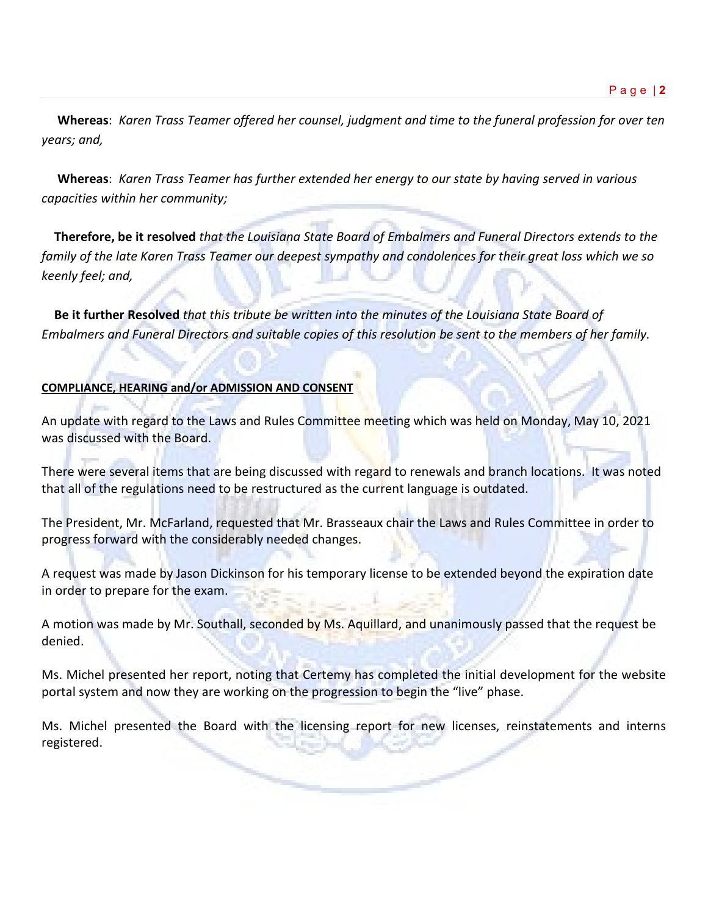**Whereas**: *Karen Trass Teamer offered her counsel, judgment and time to the funeral profession for over ten years; and,*

 **Whereas**: *Karen Trass Teamer has further extended her energy to our state by having served in various capacities within her community;*

 **Therefore, be it resolved** *that the Louisiana State Board of Embalmers and Funeral Directors extends to the family of the late Karen Trass Teamer our deepest sympathy and condolences for their great loss which we so keenly feel; and,* 

 **Be it further Resolved** *that this tribute be written into the minutes of the Louisiana State Board of Embalmers and Funeral Directors and suitable copies of this resolution be sent to the members of her family.*

### **COMPLIANCE, HEARING and/or ADMISSION AND CONSENT**

An update with regard to the Laws and Rules Committee meeting which was held on Monday, May 10, 2021 was discussed with the Board.

There were several items that are being discussed with regard to renewals and branch locations. It was noted that all of the regulations need to be restructured as the current language is outdated.

The President, Mr. McFarland, requested that Mr. Brasseaux chair the Laws and Rules Committee in order to progress forward with the considerably needed changes.

A request was made by Jason Dickinson for his temporary license to be extended beyond the expiration date in order to prepare for the exam.

A motion was made by Mr. Southall, seconded by Ms. Aquillard, and unanimously passed that the request be denied.

Ms. Michel presented her report, noting that Certemy has completed the initial development for the website portal system and now they are working on the progression to begin the "live" phase.

Ms. Michel presented the Board with the licensing report for new licenses, reinstatements and interns registered.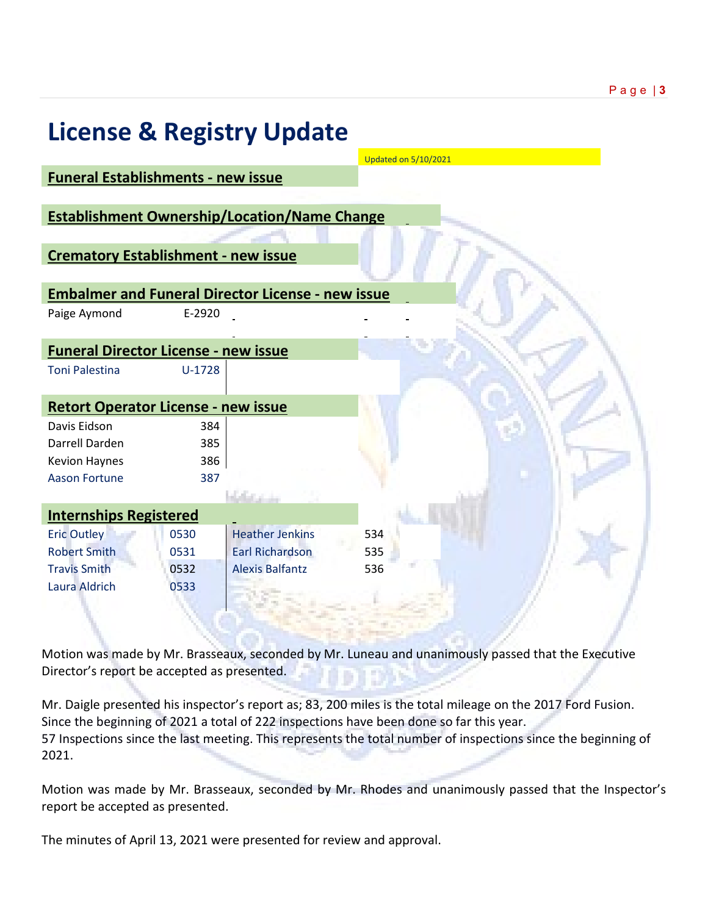|                                             |          | <b>License &amp; Registry Update</b>                     |                             |  |
|---------------------------------------------|----------|----------------------------------------------------------|-----------------------------|--|
|                                             |          |                                                          | <b>Updated on 5/10/2021</b> |  |
| <b>Funeral Establishments - new issue</b>   |          |                                                          |                             |  |
|                                             |          | <b>Establishment Ownership/Location/Name Change</b>      |                             |  |
|                                             |          |                                                          |                             |  |
| <b>Crematory Establishment - new issue</b>  |          |                                                          |                             |  |
|                                             |          |                                                          |                             |  |
|                                             |          | <b>Embalmer and Funeral Director License - new issue</b> |                             |  |
| Paige Aymond                                | E-2920   |                                                          |                             |  |
| <b>Funeral Director License - new issue</b> |          |                                                          |                             |  |
| <b>Toni Palestina</b>                       | $U-1728$ |                                                          |                             |  |
| <b>Retort Operator License - new issue</b>  |          |                                                          |                             |  |
| Davis Eidson                                | 384      |                                                          |                             |  |
| Darrell Darden                              | 385      |                                                          |                             |  |
| <b>Kevion Haynes</b>                        | 386      |                                                          |                             |  |
| <b>Aason Fortune</b>                        | 387      |                                                          |                             |  |
|                                             |          | <b>Webstand</b>                                          |                             |  |
| <b>Internships Registered</b>               |          |                                                          |                             |  |
| <b>Eric Outley</b>                          | 0530     | <b>Heather Jenkins</b>                                   | 534                         |  |
| <b>Robert Smith</b>                         | 0531     | <b>Earl Richardson</b>                                   | 535                         |  |
| <b>Travis Smith</b>                         | 0532     | <b>Alexis Balfantz</b>                                   | 536                         |  |
| Laura Aldrich                               | 0533     |                                                          |                             |  |
|                                             |          |                                                          |                             |  |

Motion was made by Mr. Brasseaux, seconded by Mr. Luneau and unanimously passed that the Executive Director's report be accepted as presented.

Mr. Daigle presented his inspector's report as; 83, 200 miles is the total mileage on the 2017 Ford Fusion. Since the beginning of 2021 a total of 222 inspections have been done so far this year. 57 Inspections since the last meeting. This represents the total number of inspections since the beginning of 2021.

Motion was made by Mr. Brasseaux, seconded by Mr. Rhodes and unanimously passed that the Inspector's report be accepted as presented.

The minutes of April 13, 2021 were presented for review and approval.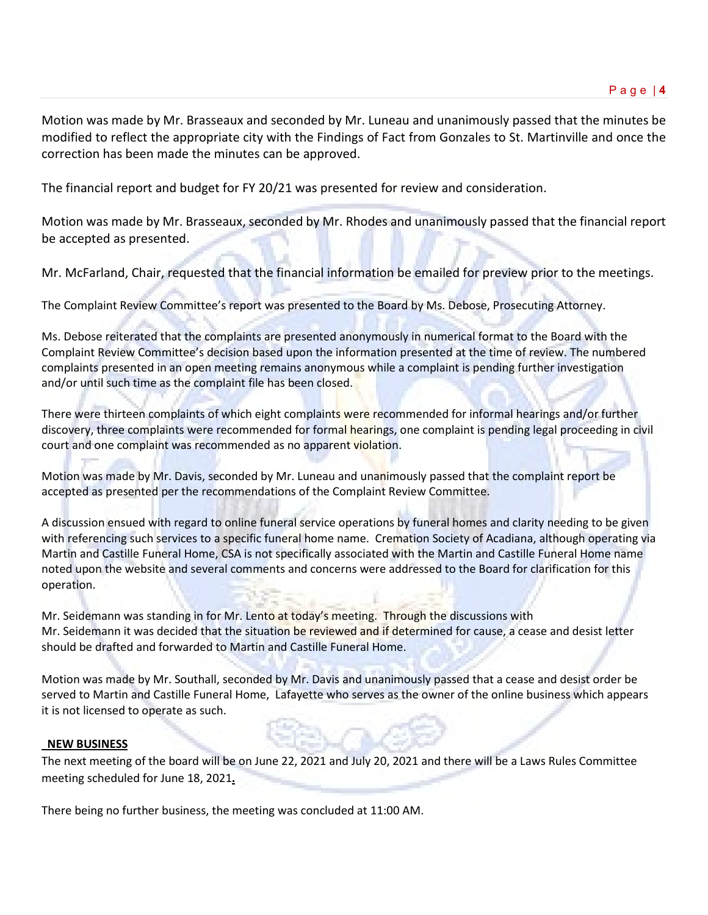Motion was made by Mr. Brasseaux and seconded by Mr. Luneau and unanimously passed that the minutes be modified to reflect the appropriate city with the Findings of Fact from Gonzales to St. Martinville and once the correction has been made the minutes can be approved.

The financial report and budget for FY 20/21 was presented for review and consideration.

Motion was made by Mr. Brasseaux, seconded by Mr. Rhodes and unanimously passed that the financial report be accepted as presented.

Mr. McFarland, Chair, requested that the financial information be emailed for preview prior to the meetings.

The Complaint Review Committee's report was presented to the Board by Ms. Debose, Prosecuting Attorney.

Ms. Debose reiterated that the complaints are presented anonymously in numerical format to the Board with the Complaint Review Committee's decision based upon the information presented at the time of review. The numbered complaints presented in an open meeting remains anonymous while a complaint is pending further investigation and/or until such time as the complaint file has been closed.

There were thirteen complaints of which eight complaints were recommended for informal hearings and/or further discovery, three complaints were recommended for formal hearings, one complaint is pending legal proceeding in civil court and one complaint was recommended as no apparent violation.

Motion was made by Mr. Davis, seconded by Mr. Luneau and unanimously passed that the complaint report be accepted as presented per the recommendations of the Complaint Review Committee.

A discussion ensued with regard to online funeral service operations by funeral homes and clarity needing to be given with referencing such services to a specific funeral home name. Cremation Society of Acadiana, although operating via Martin and Castille Funeral Home, CSA is not specifically associated with the Martin and Castille Funeral Home name noted upon the website and several comments and concerns were addressed to the Board for clarification for this operation.

Mr. Seidemann was standing in for Mr. Lento at today's meeting. Through the discussions with Mr. Seidemann it was decided that the situation be reviewed and if determined for cause, a cease and desist letter should be drafted and forwarded to Martin and Castille Funeral Home.

Motion was made by Mr. Southall, seconded by Mr. Davis and unanimously passed that a cease and desist order be served to Martin and Castille Funeral Home, Lafayette who serves as the owner of the online business which appears it is not licensed to operate as such.

#### **NEW BUSINESS**

The next meeting of the board will be on June 22, 2021 and July 20, 2021 and there will be a Laws Rules Committee meeting scheduled for June 18, 2021**.**

There being no further business, the meeting was concluded at 11:00 AM.